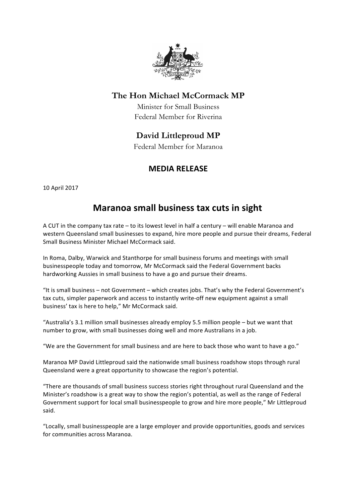

### **The Hon Michael McCormack MP**

Minister for Small Business Federal Member for Riverina

## **David Littleproud MP**

Federal Member for Maranoa

## **MEDIA RELEASE**

10 April 2017

# **Maranoa small business tax cuts in sight**

A CUT in the company tax rate – to its lowest level in half a century – will enable Maranoa and western Queensland small businesses to expand, hire more people and pursue their dreams, Federal Small Business Minister Michael McCormack said.

In Roma, Dalby, Warwick and Stanthorpe for small business forums and meetings with small businesspeople today and tomorrow, Mr McCormack said the Federal Government backs hardworking Aussies in small business to have a go and pursue their dreams.

"It is small business  $-$  not Government  $-$  which creates jobs. That's why the Federal Government's tax cuts, simpler paperwork and access to instantly write-off new equipment against a small business' tax is here to help," Mr McCormack said.

"Australia's 3.1 million small businesses already employ 5.5 million people - but we want that number to grow, with small businesses doing well and more Australians in a job.

"We are the Government for small business and are here to back those who want to have a go."

Maranoa MP David Littleproud said the nationwide small business roadshow stops through rural Queensland were a great opportunity to showcase the region's potential.

"There are thousands of small business success stories right throughout rural Queensland and the Minister's roadshow is a great way to show the region's potential, as well as the range of Federal Government support for local small businesspeople to grow and hire more people," Mr Littleproud said.

"Locally, small businesspeople are a large employer and provide opportunities, goods and services for communities across Maranoa.